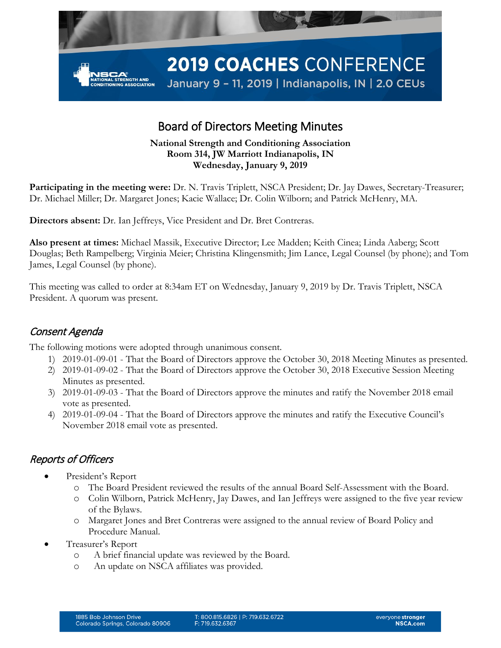

# Board of Directors Meeting Minutes

#### **National Strength and Conditioning Association Room 314, JW Marriott Indianapolis, IN Wednesday, January 9, 2019**

**Participating in the meeting were:** Dr. N. Travis Triplett, NSCA President; Dr. Jay Dawes, Secretary-Treasurer; Dr. Michael Miller; Dr. Margaret Jones; Kacie Wallace; Dr. Colin Wilborn; and Patrick McHenry, MA.

**Directors absent:** Dr. Ian Jeffreys, Vice President and Dr. Bret Contreras.

**Also present at times:** Michael Massik, Executive Director; Lee Madden; Keith Cinea; Linda Aaberg; Scott Douglas; Beth Rampelberg; Virginia Meier; Christina Klingensmith; Jim Lance, Legal Counsel (by phone); and Tom James, Legal Counsel (by phone).

This meeting was called to order at 8:34am ET on Wednesday, January 9, 2019 by Dr. Travis Triplett, NSCA President. A quorum was present.

# Consent Agenda

The following motions were adopted through unanimous consent.

- 1) 2019-01-09-01 That the Board of Directors approve the October 30, 2018 Meeting Minutes as presented.
- 2) 2019-01-09-02 That the Board of Directors approve the October 30, 2018 Executive Session Meeting Minutes as presented.
- 3) 2019-01-09-03 That the Board of Directors approve the minutes and ratify the November 2018 email vote as presented.
- 4) 2019-01-09-04 That the Board of Directors approve the minutes and ratify the Executive Council's November 2018 email vote as presented.

### Reports of Officers

- President's Report
	- o The Board President reviewed the results of the annual Board Self-Assessment with the Board.
	- o Colin Wilborn, Patrick McHenry, Jay Dawes, and Ian Jeffreys were assigned to the five year review of the Bylaws.
	- o Margaret Jones and Bret Contreras were assigned to the annual review of Board Policy and Procedure Manual.
- Treasurer's Report
	- o A brief financial update was reviewed by the Board.
	- o An update on NSCA affiliates was provided.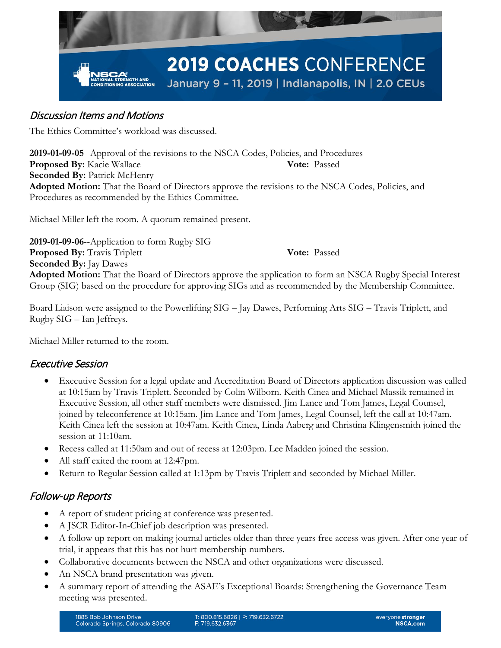

## Discussion Items and Motions

The Ethics Committee's workload was discussed.

**2019-01-09-05**--Approval of the revisions to the NSCA Codes, Policies, and Procedures **Proposed By:** Kacie Wallace **Vote:** Passed **Seconded By:** Patrick McHenry **Adopted Motion:** That the Board of Directors approve the revisions to the NSCA Codes, Policies, and Procedures as recommended by the Ethics Committee.

Michael Miller left the room. A quorum remained present.

**2019-01-09-06**--Application to form Rugby SIG **Proposed By:** Travis Triplett **Vote:** Passed **Seconded By:** Jay Dawes **Adopted Motion:** That the Board of Directors approve the application to form an NSCA Rugby Special Interest Group (SIG) based on the procedure for approving SIGs and as recommended by the Membership Committee.

Board Liaison were assigned to the Powerlifting SIG – Jay Dawes, Performing Arts SIG – Travis Triplett, and Rugby SIG – Ian Jeffreys.

Michael Miller returned to the room.

### Executive Session

- Executive Session for a legal update and Accreditation Board of Directors application discussion was called at 10:15am by Travis Triplett. Seconded by Colin Wilborn. Keith Cinea and Michael Massik remained in Executive Session, all other staff members were dismissed. Jim Lance and Tom James, Legal Counsel, joined by teleconference at 10:15am. Jim Lance and Tom James, Legal Counsel, left the call at 10:47am. Keith Cinea left the session at 10:47am. Keith Cinea, Linda Aaberg and Christina Klingensmith joined the session at 11:10am.
- Recess called at 11:50am and out of recess at 12:03pm. Lee Madden joined the session.
- All staff exited the room at 12:47pm.
- Return to Regular Session called at 1:13pm by Travis Triplett and seconded by Michael Miller.

# Follow-up Reports

- A report of student pricing at conference was presented.
- A JSCR Editor-In-Chief job description was presented.
- A follow up report on making journal articles older than three years free access was given. After one year of trial, it appears that this has not hurt membership numbers.
- Collaborative documents between the NSCA and other organizations were discussed.
- An NSCA brand presentation was given.
- A summary report of attending the ASAE's Exceptional Boards: Strengthening the Governance Team meeting was presented.